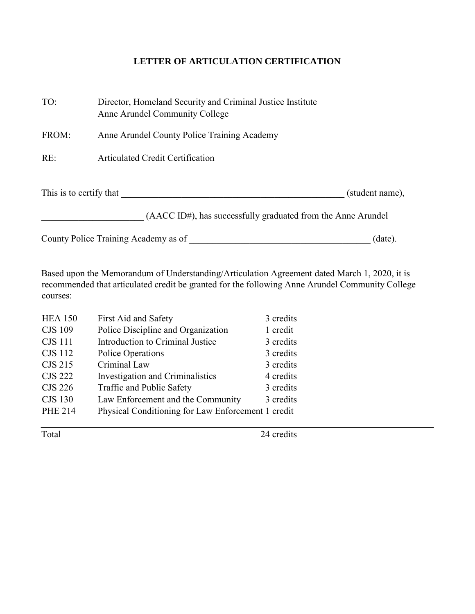## **LETTER OF ARTICULATION CERTIFICATION**

| TO:                     | Director, Homeland Security and Criminal Justice Institute<br>Anne Arundel Community College |                 |
|-------------------------|----------------------------------------------------------------------------------------------|-----------------|
| FROM:                   | Anne Arundel County Police Training Academy                                                  |                 |
| RE:                     | Articulated Credit Certification                                                             |                 |
| This is to certify that |                                                                                              | (student name), |
|                         | (AACC ID#), has successfully graduated from the Anne Arundel                                 |                 |
|                         | County Police Training Academy as of                                                         | (date).         |

Based upon the Memorandum of Understanding/Articulation Agreement dated March 1, 2020, it is recommended that articulated credit be granted for the following Anne Arundel Community College courses:

| <b>HEA 150</b> | First Aid and Safety                               | 3 credits |
|----------------|----------------------------------------------------|-----------|
| <b>CJS 109</b> | Police Discipline and Organization                 | 1 credit  |
| <b>CJS</b> 111 | Introduction to Criminal Justice                   | 3 credits |
| <b>CJS 112</b> | Police Operations                                  | 3 credits |
| CJS 215        | Criminal Law                                       | 3 credits |
| <b>CJS 222</b> | Investigation and Criminalistics                   | 4 credits |
| <b>CJS 226</b> | Traffic and Public Safety                          | 3 credits |
| <b>CJS 130</b> | Law Enforcement and the Community                  | 3 credits |
| <b>PHE 214</b> | Physical Conditioning for Law Enforcement 1 credit |           |
|                |                                                    |           |

Total 24 credits